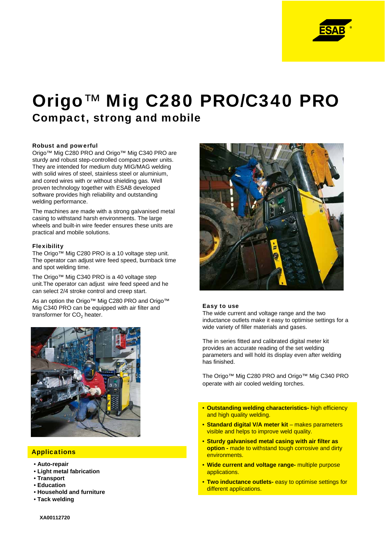

# Origo™ Mig C280 PRO/C340 PRO Compact, strong and mobile

### Robust and powerful

Origo™ Mig C280 PRO and Origo™ Mig C340 PRO are sturdy and robust step-controlled compact power units. They are intended for medium duty MIG/MAG welding with solid wires of steel, stainless steel or aluminium, and cored wires with or without shielding gas. Well proven technology together with ESAB developed software provides high reliability and outstanding welding performance.

The machines are made with a strong galvanised metal casing to withstand harsh environments. The large wheels and built-in wire feeder ensures these units are practical and mobile solutions.

#### Flexibility

The Origo™ Mig C280 PRO is a 10 voltage step unit. The operator can adjust wire feed speed, burnback time and spot welding time.

The Origo™ Mig C340 PRO is a 40 voltage step unit.The operator can adjust wire feed speed and he can select 2/4 stroke control and creep start.

As an option the Origo™ Mig C280 PRO and Origo™ Mig C340 PRO can be equipped with air filter and transformer for CO<sub>2</sub> heater.



# **Applications**

- **Auto-repair**
- **Light metal fabrication**
- **Transport**
- **Education**
- **Household and furniture**
- **Tack welding**



#### Easy to use

The wide current and voltage range and the two inductance outlets make it easy to optimise settings for a wide variety of filler materials and gases.

The in series fitted and calibrated digital meter kit provides an accurate reading of the set welding parameters and will hold its display even after welding has finished.

The Origo™ Mig C280 PRO and Origo™ Mig C340 PRO operate with air cooled welding torches.

- **Outstanding welding characteristics-** high efficiency and high quality welding.
- Standard digital V/A meter kit makes parameters visible and helps to improve weld quality.
- **Sturdy galvanised metal casing with air filter as option -** made to withstand tough corrosive and dirty environments.
- **Wide current and voltage range-** multiple purpose applications.
- **Two inductance outlets-** easy to optimise settings for different applications.